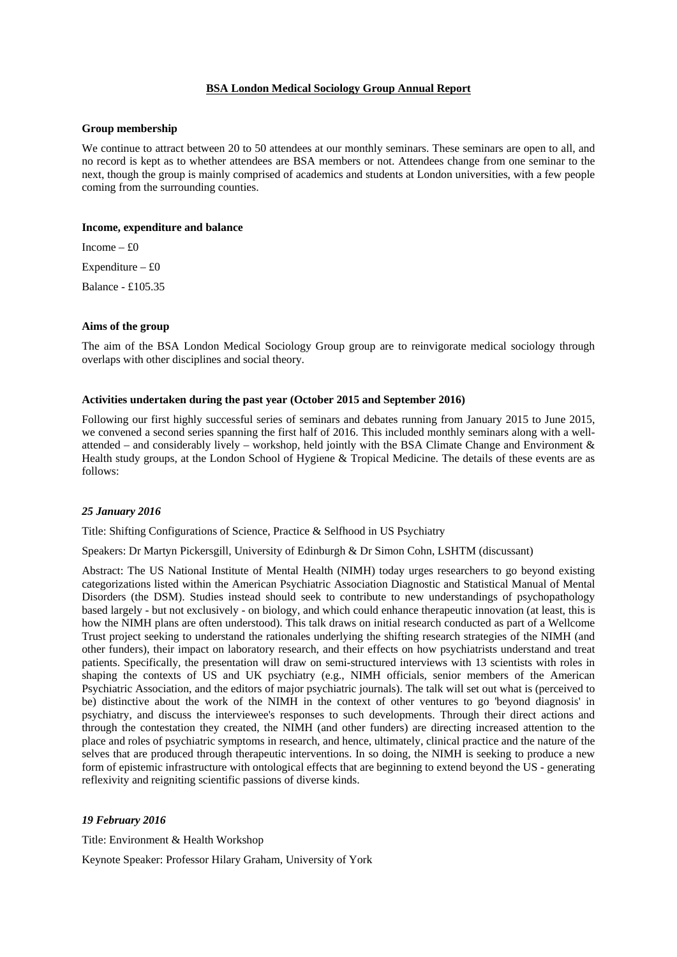## **BSA London Medical Sociology Group Annual Report**

#### **Group membership**

We continue to attract between 20 to 50 attendees at our monthly seminars. These seminars are open to all, and no record is kept as to whether attendees are BSA members or not. Attendees change from one seminar to the next, though the group is mainly comprised of academics and students at London universities, with a few people coming from the surrounding counties.

#### **Income, expenditure and balance**

Income  $- f0$ Expenditure  $-$  £0

Balance - £105.35

#### **Aims of the group**

The aim of the BSA London Medical Sociology Group group are to reinvigorate medical sociology through overlaps with other disciplines and social theory.

## **Activities undertaken during the past year (October 2015 and September 2016)**

Following our first highly successful series of seminars and debates running from January 2015 to June 2015, we convened a second series spanning the first half of 2016. This included monthly seminars along with a wellattended – and considerably lively – workshop, held jointly with the BSA Climate Change and Environment  $\&$ Health study groups, at the London School of Hygiene & Tropical Medicine. The details of these events are as follows:

### *25 January 2016*

Title: Shifting Configurations of Science, Practice & Selfhood in US Psychiatry

Speakers: Dr Martyn Pickersgill, University of Edinburgh & Dr Simon Cohn, LSHTM (discussant)

Abstract: The US National Institute of Mental Health (NIMH) today urges researchers to go beyond existing categorizations listed within the American Psychiatric Association Diagnostic and Statistical Manual of Mental Disorders (the DSM). Studies instead should seek to contribute to new understandings of psychopathology based largely - but not exclusively - on biology, and which could enhance therapeutic innovation (at least, this is how the NIMH plans are often understood). This talk draws on initial research conducted as part of a Wellcome Trust project seeking to understand the rationales underlying the shifting research strategies of the NIMH (and other funders), their impact on laboratory research, and their effects on how psychiatrists understand and treat patients. Specifically, the presentation will draw on semi-structured interviews with 13 scientists with roles in shaping the contexts of US and UK psychiatry (e.g., NIMH officials, senior members of the American Psychiatric Association, and the editors of major psychiatric journals). The talk will set out what is (perceived to be) distinctive about the work of the NIMH in the context of other ventures to go 'beyond diagnosis' in psychiatry, and discuss the interviewee's responses to such developments. Through their direct actions and through the contestation they created, the NIMH (and other funders) are directing increased attention to the place and roles of psychiatric symptoms in research, and hence, ultimately, clinical practice and the nature of the selves that are produced through therapeutic interventions. In so doing, the NIMH is seeking to produce a new form of epistemic infrastructure with ontological effects that are beginning to extend beyond the US - generating reflexivity and reigniting scientific passions of diverse kinds.

# *19 February 2016*

Title: Environment & Health Workshop

Keynote Speaker: Professor Hilary Graham, University of York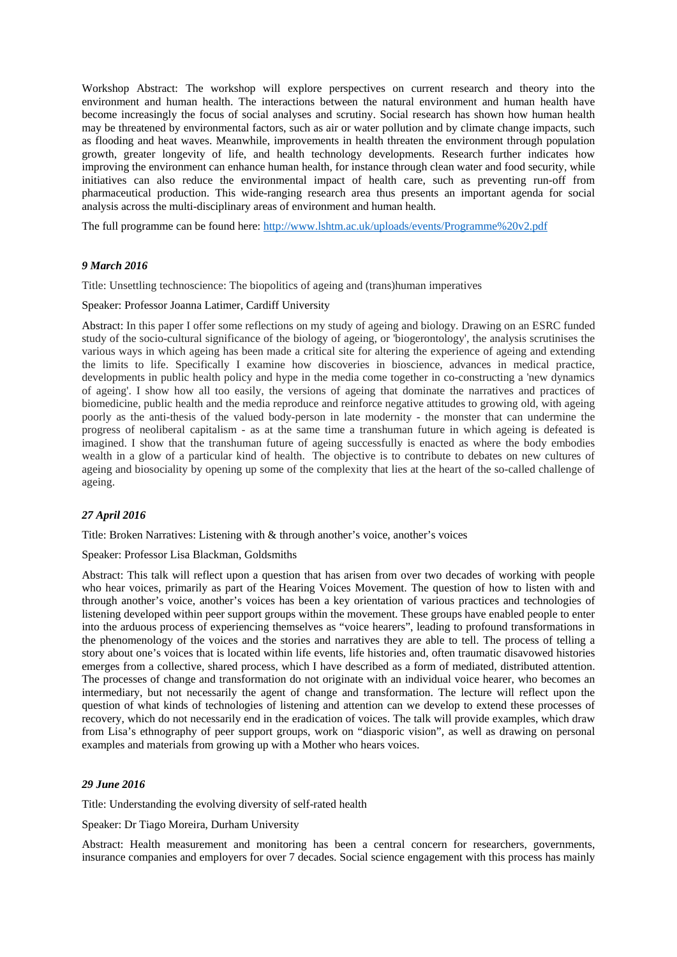Workshop Abstract: The workshop will explore perspectives on current research and theory into the environment and human health. The interactions between the natural environment and human health have become increasingly the focus of social analyses and scrutiny. Social research has shown how human health may be threatened by environmental factors, such as air or water pollution and by climate change impacts, such as flooding and heat waves. Meanwhile, improvements in health threaten the environment through population growth, greater longevity of life, and health technology developments. Research further indicates how improving the environment can enhance human health, for instance through clean water and food security, while initiatives can also reduce the environmental impact of health care, such as preventing run-off from pharmaceutical production. This wide-ranging research area thus presents an important agenda for social analysis across the multi-disciplinary areas of environment and human health.

The full programme can be found here: http://www.lshtm.ac.uk/uploads/events/Programme%20v2.pdf

## *9 March 2016*

Title: Unsettling technoscience: The biopolitics of ageing and (trans)human imperatives

## Speaker: Professor Joanna Latimer, Cardiff University

Abstract: In this paper I offer some reflections on my study of ageing and biology. Drawing on an ESRC funded study of the socio-cultural significance of the biology of ageing, or 'biogerontology', the analysis scrutinises the various ways in which ageing has been made a critical site for altering the experience of ageing and extending the limits to life. Specifically I examine how discoveries in bioscience, advances in medical practice, developments in public health policy and hype in the media come together in co-constructing a 'new dynamics of ageing'. I show how all too easily, the versions of ageing that dominate the narratives and practices of biomedicine, public health and the media reproduce and reinforce negative attitudes to growing old, with ageing poorly as the anti-thesis of the valued body-person in late modernity - the monster that can undermine the progress of neoliberal capitalism - as at the same time a transhuman future in which ageing is defeated is imagined. I show that the transhuman future of ageing successfully is enacted as where the body embodies wealth in a glow of a particular kind of health. The objective is to contribute to debates on new cultures of ageing and biosociality by opening up some of the complexity that lies at the heart of the so-called challenge of ageing.

## *27 April 2016*

Title: Broken Narratives: Listening with & through another's voice, another's voices

Speaker: Professor Lisa Blackman, Goldsmiths

Abstract: This talk will reflect upon a question that has arisen from over two decades of working with people who hear voices, primarily as part of the Hearing Voices Movement. The question of how to listen with and through another's voice, another's voices has been a key orientation of various practices and technologies of listening developed within peer support groups within the movement. These groups have enabled people to enter into the arduous process of experiencing themselves as "voice hearers", leading to profound transformations in the phenomenology of the voices and the stories and narratives they are able to tell. The process of telling a story about one's voices that is located within life events, life histories and, often traumatic disavowed histories emerges from a collective, shared process, which I have described as a form of mediated, distributed attention. The processes of change and transformation do not originate with an individual voice hearer, who becomes an intermediary, but not necessarily the agent of change and transformation. The lecture will reflect upon the question of what kinds of technologies of listening and attention can we develop to extend these processes of recovery, which do not necessarily end in the eradication of voices. The talk will provide examples, which draw from Lisa's ethnography of peer support groups, work on "diasporic vision", as well as drawing on personal examples and materials from growing up with a Mother who hears voices.

### *29 June 2016*

Title: Understanding the evolving diversity of self-rated health

Speaker: Dr Tiago Moreira, Durham University

Abstract: Health measurement and monitoring has been a central concern for researchers, governments, insurance companies and employers for over 7 decades. Social science engagement with this process has mainly